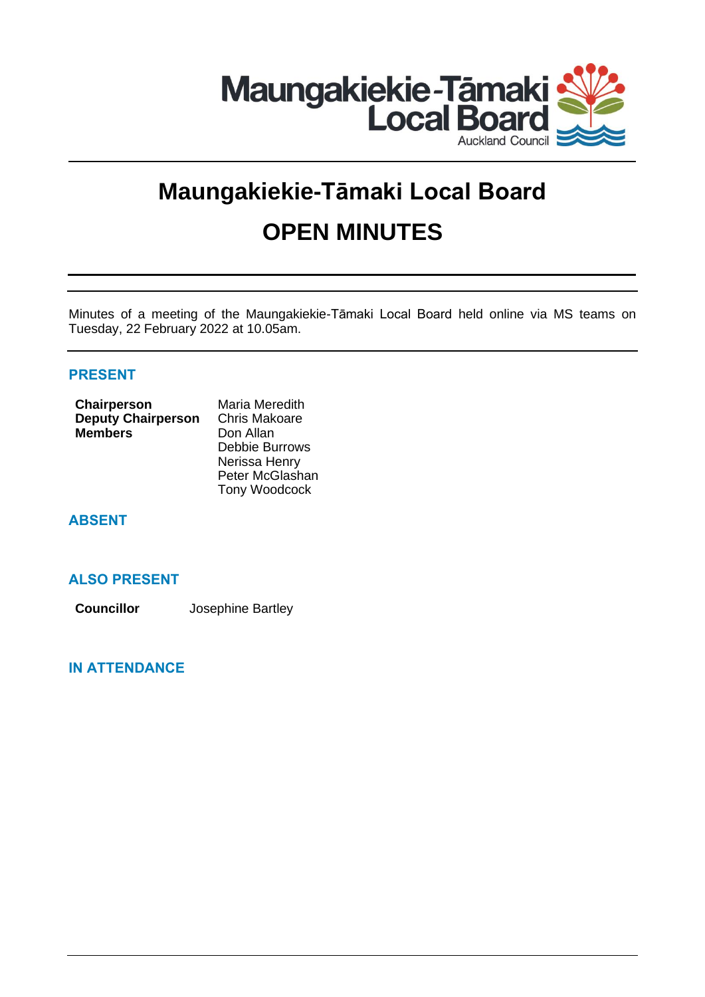

# **Maungakiekie-Tāmaki Local Board OPEN MINUTES**

Minutes of a meeting of the Maungakiekie-Tāmaki Local Board held online via MS teams on Tuesday, 22 February 2022 at 10.05am.

# **PRESENT**

| Chairperson               | Maria Meredith       |  |
|---------------------------|----------------------|--|
| <b>Deputy Chairperson</b> | <b>Chris Makoare</b> |  |
| <b>Members</b>            | Don Allan            |  |
|                           | Debbie Burrows       |  |
|                           | Nerissa Henry        |  |
|                           | Peter McGlashan      |  |
|                           | Tony Woodcock        |  |

# **ABSENT**

## **ALSO PRESENT**

**Councillor** Josephine Bartley

# **IN ATTENDANCE**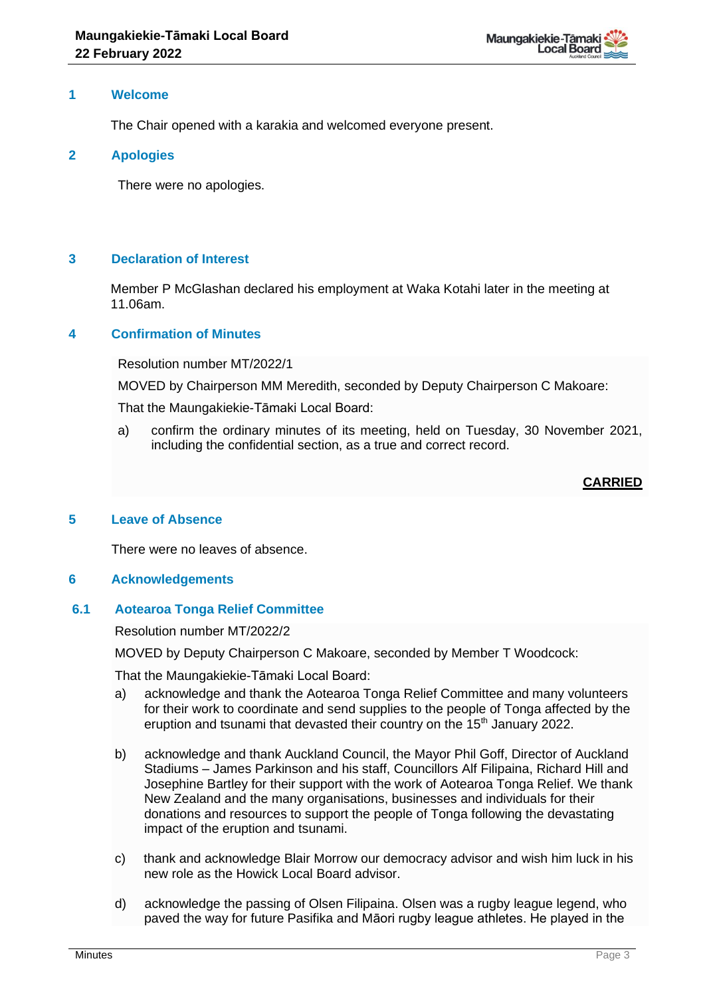#### **1 Welcome**

The Chair opened with a karakia and welcomed everyone present.

#### **2 Apologies**

There were no apologies.

## **3 Declaration of Interest**

Member P McGlashan declared his employment at Waka Kotahi later in the meeting at 11.06am.

## **4 Confirmation of Minutes**

Resolution number MT/2022/1

MOVED by Chairperson MM Meredith, seconded by Deputy Chairperson C Makoare:

That the Maungakiekie-Tāmaki Local Board:

a) confirm the ordinary minutes of its meeting, held on Tuesday, 30 November 2021, including the confidential section, as a true and correct record.

# **CARRIED**

## **5 Leave of Absence**

There were no leaves of absence.

## **6 Acknowledgements**

## **6.1 Aotearoa Tonga Relief Committee**

Resolution number MT/2022/2

MOVED by Deputy Chairperson C Makoare, seconded by Member T Woodcock:

That the Maungakiekie-Tāmaki Local Board:

- a) acknowledge and thank the Aotearoa Tonga Relief Committee and many volunteers for their work to coordinate and send supplies to the people of Tonga affected by the eruption and tsunami that devasted their country on the 15<sup>th</sup> January 2022.
- b) acknowledge and thank Auckland Council, the Mayor Phil Goff, Director of Auckland Stadiums – James Parkinson and his staff, Councillors Alf Filipaina, Richard Hill and Josephine Bartley for their support with the work of Aotearoa Tonga Relief. We thank New Zealand and the many organisations, businesses and individuals for their donations and resources to support the people of Tonga following the devastating impact of the eruption and tsunami.
- c) thank and acknowledge Blair Morrow our democracy advisor and wish him luck in his new role as the Howick Local Board advisor.
- d) acknowledge the passing of Olsen Filipaina. Olsen was a rugby league legend, who paved the way for future Pasifika and Māori rugby league athletes. He played in the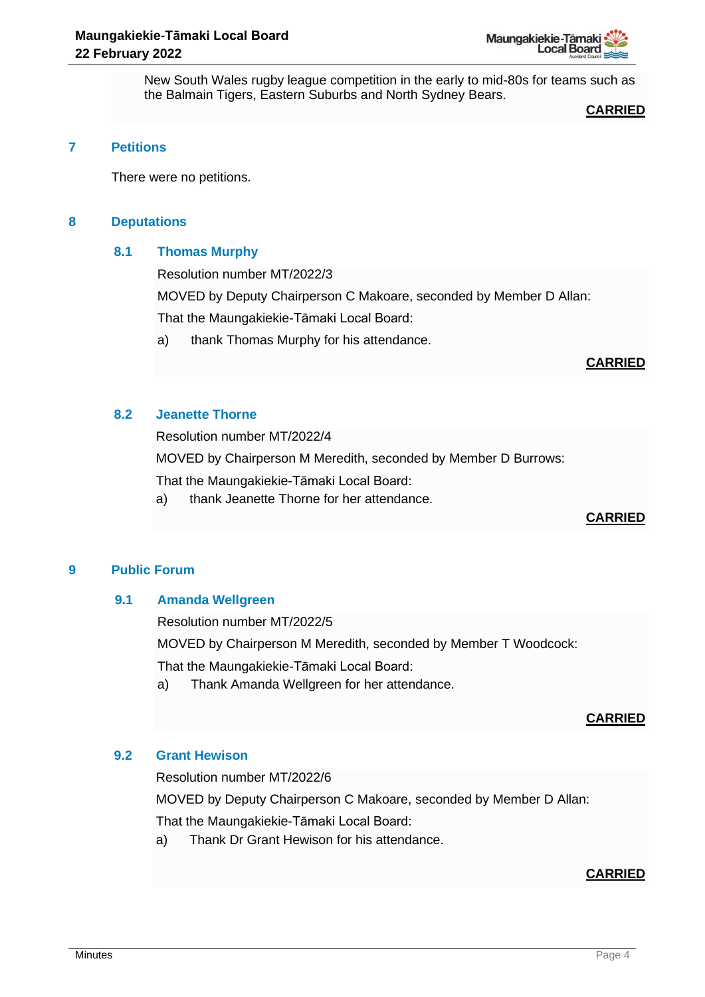

New South Wales rugby league competition in the early to mid-80s for teams such as the Balmain Tigers, Eastern Suburbs and North Sydney Bears.

#### **CARRIED**

#### **7 Petitions**

There were no petitions.

#### **8 Deputations**

#### **8.1 Thomas Murphy**

Resolution number MT/2022/3

MOVED by Deputy Chairperson C Makoare, seconded by Member D Allan:

That the Maungakiekie-Tāmaki Local Board:

a) thank Thomas Murphy for his attendance.

## **CARRIED**

## **8.2 Jeanette Thorne**

Resolution number MT/2022/4

MOVED by Chairperson M Meredith, seconded by Member D Burrows:

That the Maungakiekie-Tāmaki Local Board:

a) thank Jeanette Thorne for her attendance.

## **CARRIED**

## **9 Public Forum**

## **9.1 Amanda Wellgreen**

Resolution number MT/2022/5

MOVED by Chairperson M Meredith, seconded by Member T Woodcock:

That the Maungakiekie-Tāmaki Local Board:

a) Thank Amanda Wellgreen for her attendance.

# **CARRIED**

## **9.2 Grant Hewison**

Resolution number MT/2022/6

MOVED by Deputy Chairperson C Makoare, seconded by Member D Allan:

That the Maungakiekie-Tāmaki Local Board:

a) Thank Dr Grant Hewison for his attendance.

# **CARRIED**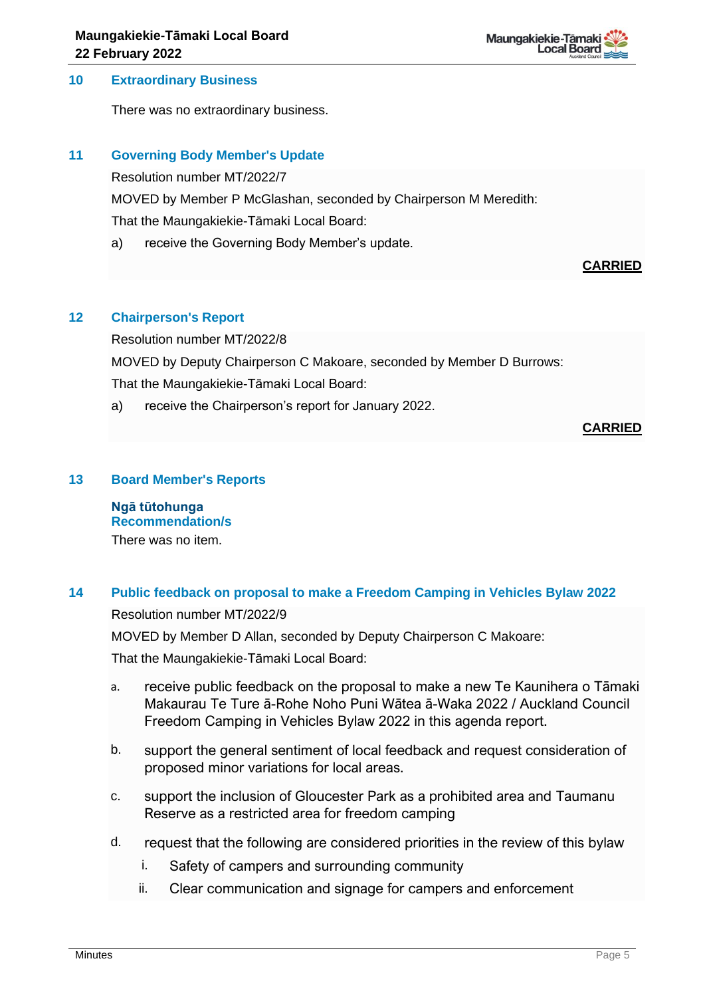#### **10 Extraordinary Business**

There was no extraordinary business.

#### **11 Governing Body Member's Update**

Resolution number MT/2022/7

MOVED by Member P McGlashan, seconded by Chairperson M Meredith:

That the Maungakiekie-Tāmaki Local Board:

a) receive the Governing Body Member's update.

## **CARRIED**

## **12 Chairperson's Report**

Resolution number MT/2022/8

MOVED by Deputy Chairperson C Makoare, seconded by Member D Burrows: That the Maungakiekie-Tāmaki Local Board:

a) receive the Chairperson's report for January 2022.

## **CARRIED**

#### **13 Board Member's Reports**

**Ngā tūtohunga Recommendation/s** There was no item.

## **14 Public feedback on proposal to make a Freedom Camping in Vehicles Bylaw 2022**

Resolution number MT/2022/9

MOVED by Member D Allan, seconded by Deputy Chairperson C Makoare:

That the Maungakiekie-Tāmaki Local Board:

- a. receive public feedback on the proposal to make a new Te Kaunihera o Tāmaki Makaurau Te Ture ā-Rohe Noho Puni Wātea ā-Waka 2022 / Auckland Council Freedom Camping in Vehicles Bylaw 2022 in this agenda report.
- b. support the general sentiment of local feedback and request consideration of proposed minor variations for local areas.
- c. support the inclusion of Gloucester Park as a prohibited area and Taumanu Reserve as a restricted area for freedom camping
- d. request that the following are considered priorities in the review of this bylaw
	- i. Safety of campers and surrounding community
	- ii. Clear communication and signage for campers and enforcement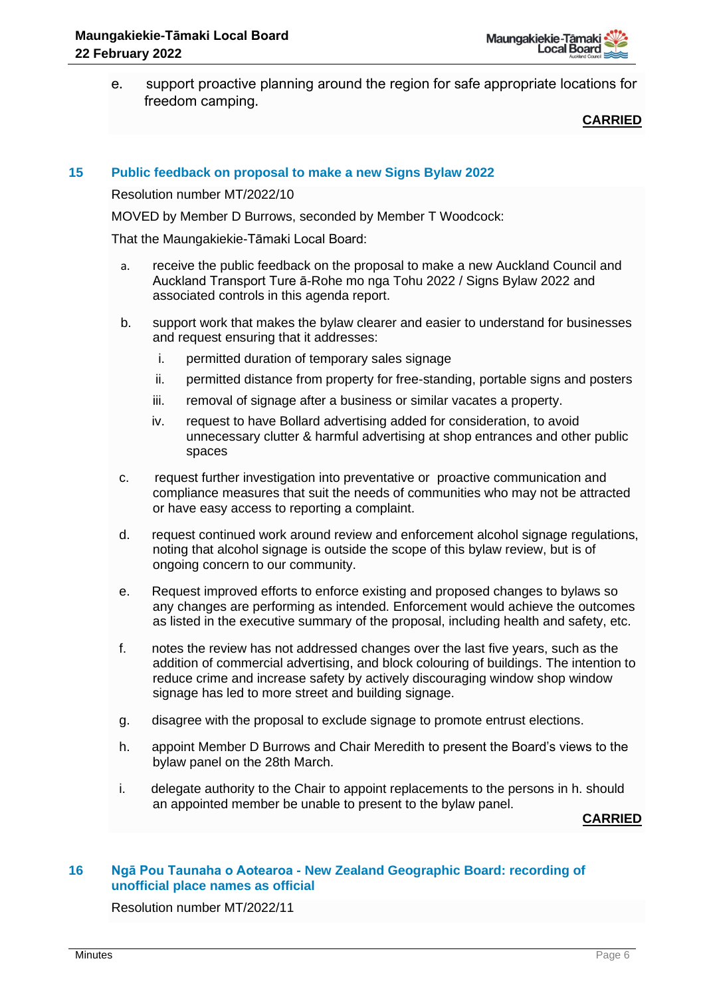e. support proactive planning around the region for safe appropriate locations for freedom camping.

## **CARRIED**

#### **15 Public feedback on proposal to make a new Signs Bylaw 2022**

Resolution number MT/2022/10

MOVED by Member D Burrows, seconded by Member T Woodcock:

That the Maungakiekie-Tāmaki Local Board:

- a. receive the public feedback on the proposal to make a new Auckland Council and Auckland Transport Ture ā-Rohe mo nga Tohu 2022 / Signs Bylaw 2022 and associated controls in this agenda report.
- b. support work that makes the bylaw clearer and easier to understand for businesses and request ensuring that it addresses:
	- i. permitted duration of temporary sales signage
	- ii. permitted distance from property for free-standing, portable signs and posters
	- iii. removal of signage after a business or similar vacates a property.
	- iv. request to have Bollard advertising added for consideration, to avoid unnecessary clutter & harmful advertising at shop entrances and other public spaces
- c. request further investigation into preventative or proactive communication and compliance measures that suit the needs of communities who may not be attracted or have easy access to reporting a complaint.
- d. request continued work around review and enforcement alcohol signage regulations, noting that alcohol signage is outside the scope of this bylaw review, but is of ongoing concern to our community.
- e. Request improved efforts to enforce existing and proposed changes to bylaws so any changes are performing as intended. Enforcement would achieve the outcomes as listed in the executive summary of the proposal, including health and safety, etc.
- f. notes the review has not addressed changes over the last five years, such as the addition of commercial advertising, and block colouring of buildings. The intention to reduce crime and increase safety by actively discouraging window shop window signage has led to more street and building signage.
- g. disagree with the proposal to exclude signage to promote entrust elections.
- h. appoint Member D Burrows and Chair Meredith to present the Board's views to the bylaw panel on the 28th March.
- i. delegate authority to the Chair to appoint replacements to the persons in h. should an appointed member be unable to present to the bylaw panel.

**CARRIED**

#### **16 Ngā Pou Taunaha o Aotearoa - New Zealand Geographic Board: recording of unofficial place names as official**

Resolution number MT/2022/11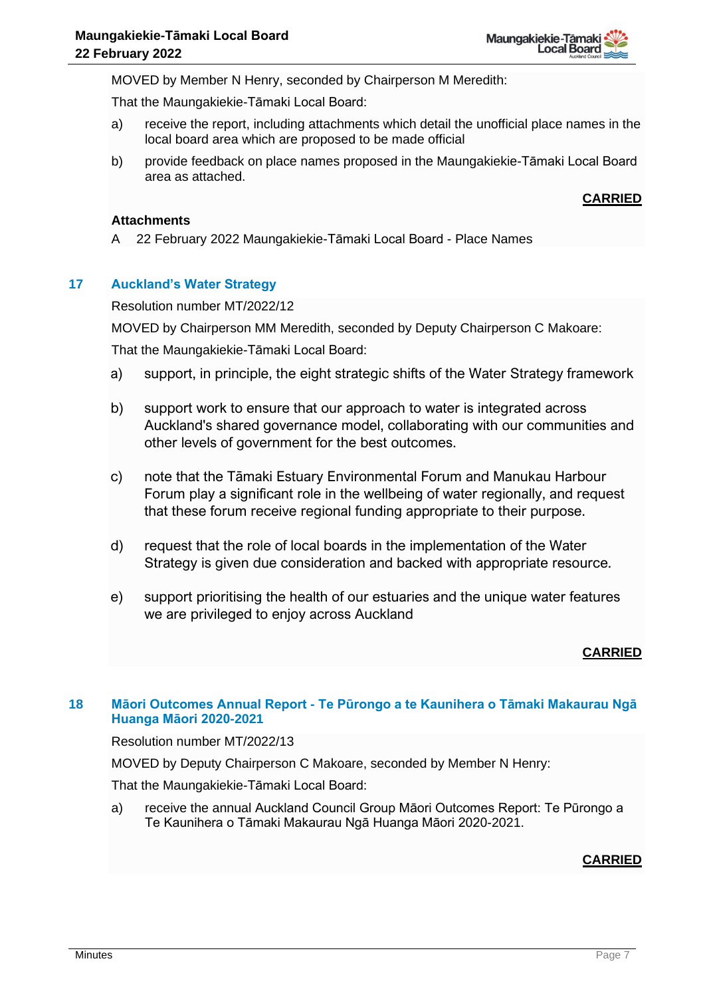MOVED by Member N Henry, seconded by Chairperson M Meredith:

That the Maungakiekie-Tāmaki Local Board:

- a) receive the report, including attachments which detail the unofficial place names in the local board area which are proposed to be made official
- b) provide feedback on place names proposed in the Maungakiekie-Tāmaki Local Board area as attached.

# **CARRIED**

#### **Attachments**

A 22 February 2022 Maungakiekie-Tāmaki Local Board - Place Names

# **17 Auckland's Water Strategy**

Resolution number MT/2022/12

MOVED by Chairperson MM Meredith, seconded by Deputy Chairperson C Makoare:

That the Maungakiekie-Tāmaki Local Board:

- a) support, in principle, the eight strategic shifts of the Water Strategy framework
- b) support work to ensure that our approach to water is integrated across Auckland's shared governance model, collaborating with our communities and other levels of government for the best outcomes.
- c) note that the Tāmaki Estuary Environmental Forum and Manukau Harbour Forum play a significant role in the wellbeing of water regionally, and request that these forum receive regional funding appropriate to their purpose.
- d) request that the role of local boards in the implementation of the Water Strategy is given due consideration and backed with appropriate resource.
- e) support prioritising the health of our estuaries and the unique water features we are privileged to enjoy across Auckland

# **CARRIED**

# **18 Māori Outcomes Annual Report - Te Pūrongo a te Kaunihera o Tāmaki Makaurau Ngā Huanga Māori 2020-2021**

Resolution number MT/2022/13

MOVED by Deputy Chairperson C Makoare, seconded by Member N Henry:

That the Maungakiekie-Tāmaki Local Board:

a) receive the annual Auckland Council Group Māori Outcomes Report: Te Pūrongo a Te Kaunihera o Tāmaki Makaurau Ngā Huanga Māori 2020-2021.

# **CARRIED**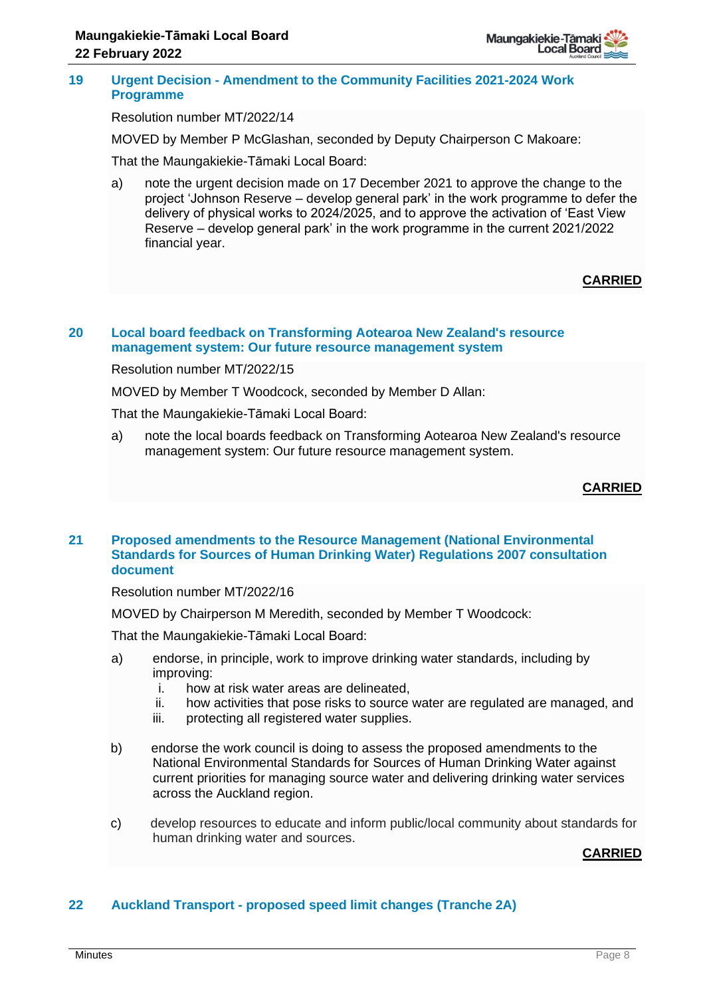

#### **19 Urgent Decision - Amendment to the Community Facilities 2021-2024 Work Programme**

Resolution number MT/2022/14

MOVED by Member P McGlashan, seconded by Deputy Chairperson C Makoare:

That the Maungakiekie-Tāmaki Local Board:

a) note the urgent decision made on 17 December 2021 to approve the change to the project 'Johnson Reserve – develop general park' in the work programme to defer the delivery of physical works to 2024/2025, and to approve the activation of 'East View Reserve – develop general park' in the work programme in the current 2021/2022 financial year.

# **CARRIED**

#### **20 Local board feedback on Transforming Aotearoa New Zealand's resource management system: Our future resource management system**

Resolution number MT/2022/15

MOVED by Member T Woodcock, seconded by Member D Allan:

That the Maungakiekie-Tāmaki Local Board:

a) note the local boards feedback on Transforming Aotearoa New Zealand's resource management system: Our future resource management system.

## **CARRIED**

## **21 Proposed amendments to the Resource Management (National Environmental Standards for Sources of Human Drinking Water) Regulations 2007 consultation document**

Resolution number MT/2022/16

MOVED by Chairperson M Meredith, seconded by Member T Woodcock:

That the Maungakiekie-Tāmaki Local Board:

- a) endorse, in principle, work to improve drinking water standards, including by improving:
	- i. how at risk water areas are delineated,
	- ii. how activities that pose risks to source water are regulated are managed, and
	- iii. protecting all registered water supplies.
- b) endorse the work council is doing to assess the proposed amendments to the National Environmental Standards for Sources of Human Drinking Water against current priorities for managing source water and delivering drinking water services across the Auckland region.
- c) develop resources to educate and inform public/local community about standards for human drinking water and sources.

#### **CARRIED**

## **22 Auckland Transport - proposed speed limit changes (Tranche 2A)**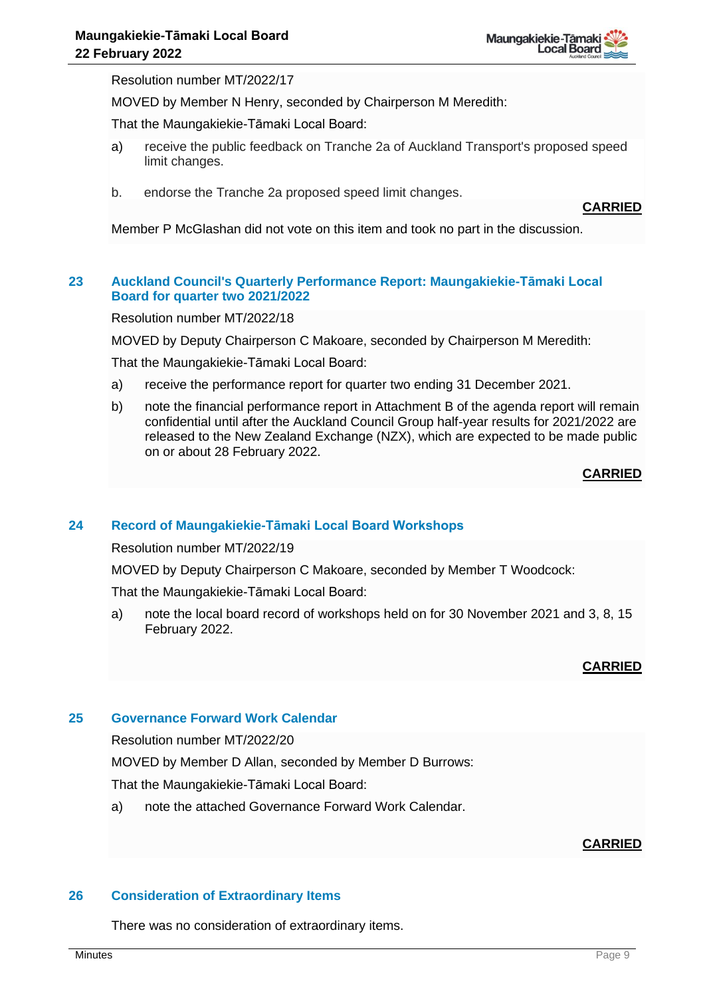Resolution number MT/2022/17

MOVED by Member N Henry, seconded by Chairperson M Meredith:

That the Maungakiekie-Tāmaki Local Board:

- a) receive the public feedback on Tranche 2a of Auckland Transport's proposed speed limit changes.
- b. endorse the Tranche 2a proposed speed limit changes.

**CARRIED**

Member P McGlashan did not vote on this item and took no part in the discussion.

#### **23 Auckland Council's Quarterly Performance Report: Maungakiekie-Tāmaki Local Board for quarter two 2021/2022**

Resolution number MT/2022/18

MOVED by Deputy Chairperson C Makoare, seconded by Chairperson M Meredith:

That the Maungakiekie-Tāmaki Local Board:

- a) receive the performance report for quarter two ending 31 December 2021.
- b) note the financial performance report in Attachment B of the agenda report will remain confidential until after the Auckland Council Group half-year results for 2021/2022 are released to the New Zealand Exchange (NZX), which are expected to be made public on or about 28 February 2022.

**CARRIED**

#### **24 Record of Maungakiekie-Tāmaki Local Board Workshops**

Resolution number MT/2022/19

MOVED by Deputy Chairperson C Makoare, seconded by Member T Woodcock:

That the Maungakiekie-Tāmaki Local Board:

a) note the local board record of workshops held on for 30 November 2021 and 3, 8, 15 February 2022.

#### **CARRIED**

#### **25 Governance Forward Work Calendar**

Resolution number MT/2022/20

MOVED by Member D Allan, seconded by Member D Burrows:

That the Maungakiekie-Tāmaki Local Board:

a) note the attached Governance Forward Work Calendar.

## **CARRIED**

#### **26 Consideration of Extraordinary Items**

There was no consideration of extraordinary items.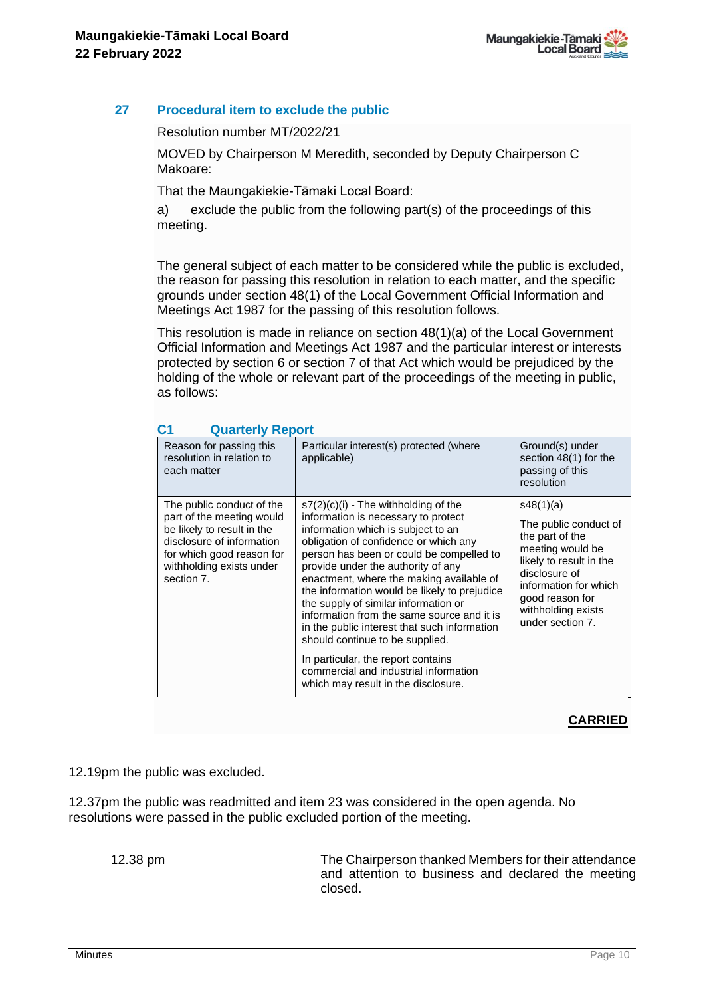# **27 Procedural item to exclude the public**

Resolution number MT/2022/21

MOVED by Chairperson M Meredith, seconded by Deputy Chairperson C Makoare:

That the Maungakiekie-Tāmaki Local Board:

a) exclude the public from the following part(s) of the proceedings of this meeting.

The general subject of each matter to be considered while the public is excluded, the reason for passing this resolution in relation to each matter, and the specific grounds under section 48(1) of the Local Government Official Information and Meetings Act 1987 for the passing of this resolution follows.

This resolution is made in reliance on section 48(1)(a) of the Local Government Official Information and Meetings Act 1987 and the particular interest or interests protected by section 6 or section 7 of that Act which would be prejudiced by the holding of the whole or relevant part of the proceedings of the meeting in public, as follows:

| Reason for passing this<br>resolution in relation to<br>each matter                                                                                                                      | Particular interest(s) protected (where<br>applicable)                                                                                                                                                                                                                                                                                                                                                                                                                                                                                                                                                                                    | Ground(s) under<br>section 48(1) for the<br>passing of this<br>resolution                                                                                                                                   |
|------------------------------------------------------------------------------------------------------------------------------------------------------------------------------------------|-------------------------------------------------------------------------------------------------------------------------------------------------------------------------------------------------------------------------------------------------------------------------------------------------------------------------------------------------------------------------------------------------------------------------------------------------------------------------------------------------------------------------------------------------------------------------------------------------------------------------------------------|-------------------------------------------------------------------------------------------------------------------------------------------------------------------------------------------------------------|
| The public conduct of the<br>part of the meeting would<br>be likely to result in the<br>disclosure of information<br>for which good reason for<br>withholding exists under<br>section 7. | $s7(2)(c)(i)$ - The withholding of the<br>information is necessary to protect<br>information which is subject to an<br>obligation of confidence or which any<br>person has been or could be compelled to<br>provide under the authority of any<br>enactment, where the making available of<br>the information would be likely to prejudice<br>the supply of similar information or<br>information from the same source and it is<br>in the public interest that such information<br>should continue to be supplied.<br>In particular, the report contains<br>commercial and industrial information<br>which may result in the disclosure. | s48(1)(a)<br>The public conduct of<br>the part of the<br>meeting would be<br>likely to result in the<br>disclosure of<br>information for which<br>good reason for<br>withholding exists<br>under section 7. |

# **C1 Quarterly Report**

# **CARRIED**

12.19pm the public was excluded.

12.37pm the public was readmitted and item 23 was considered in the open agenda. No resolutions were passed in the public excluded portion of the meeting.

12.38 pm The Chairperson thanked Members for their attendance and attention to business and declared the meeting closed.